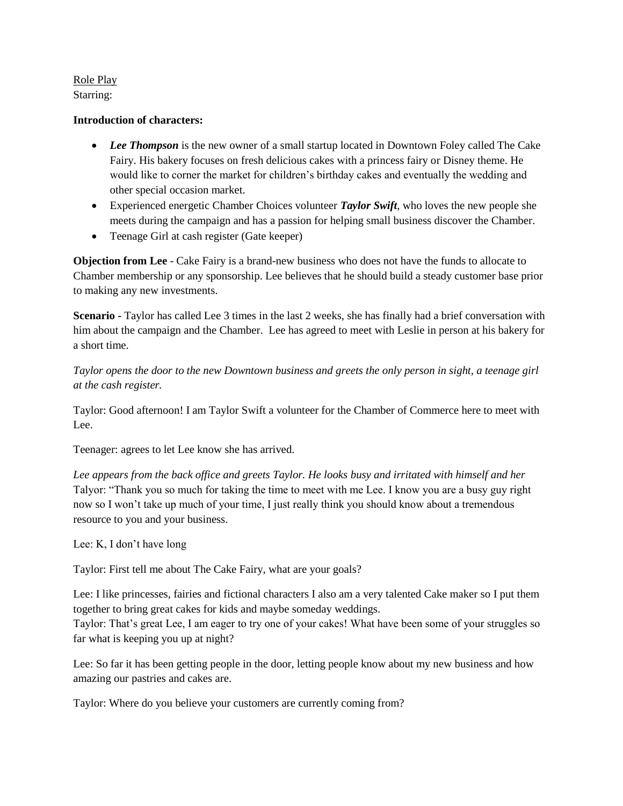Role Play Starring:

## **Introduction of characters:**

- *Lee Thompson* is the new owner of a small startup located in Downtown Foley called The Cake Fairy. His bakery focuses on fresh delicious cakes with a princess fairy or Disney theme. He would like to corner the market for children's birthday cakes and eventually the wedding and other special occasion market.
- Experienced energetic Chamber Choices volunteer *Taylor Swift*, who loves the new people she meets during the campaign and has a passion for helping small business discover the Chamber.
- Teenage Girl at cash register (Gate keeper)

**Objection from Lee** - Cake Fairy is a brand-new business who does not have the funds to allocate to Chamber membership or any sponsorship. Lee believes that he should build a steady customer base prior to making any new investments.

**Scenario -** Taylor has called Lee 3 times in the last 2 weeks, she has finally had a brief conversation with him about the campaign and the Chamber. Lee has agreed to meet with Leslie in person at his bakery for a short time.

*Taylor opens the door to the new Downtown business and greets the only person in sight, a teenage girl at the cash register.* 

Taylor: Good afternoon! I am Taylor Swift a volunteer for the Chamber of Commerce here to meet with Lee.

Teenager: agrees to let Lee know she has arrived.

Lee appears from the back office and greets Taylor. He looks busy and irritated with himself and her Talyor: "Thank you so much for taking the time to meet with me Lee. I know you are a busy guy right now so I won't take up much of your time, I just really think you should know about a tremendous resource to you and your business.

Lee: K, I don't have long

Taylor: First tell me about The Cake Fairy, what are your goals?

Lee: I like princesses, fairies and fictional characters I also am a very talented Cake maker so I put them together to bring great cakes for kids and maybe someday weddings.

Taylor: That's great Lee, I am eager to try one of your cakes! What have been some of your struggles so far what is keeping you up at night?

Lee: So far it has been getting people in the door, letting people know about my new business and how amazing our pastries and cakes are.

Taylor: Where do you believe your customers are currently coming from?